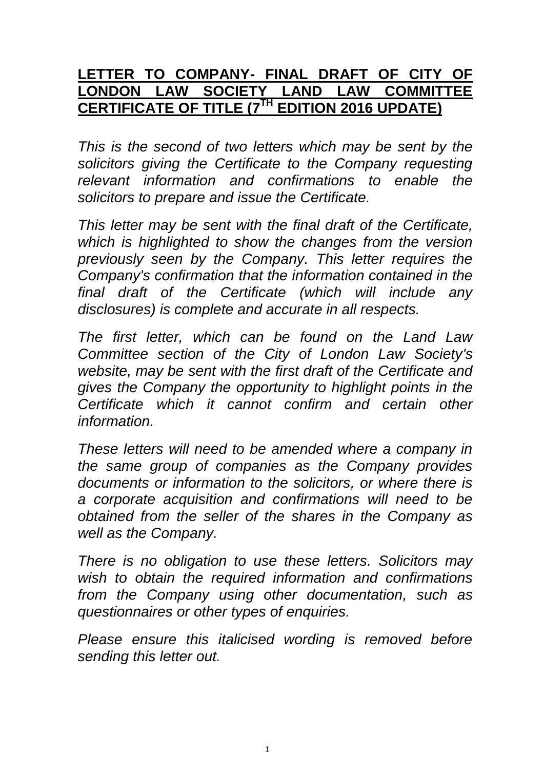## **LETTER TO COMPANY- FINAL DRAFT OF CITY OF LONDON LAW SOCIETY LAND LAW COMMITTEE CERTIFICATE OF TITLE (7 TH EDITION 2016 UPDATE)**

*This is the second of two letters which may be sent by the solicitors giving the Certificate to the Company requesting relevant information and confirmations to enable the solicitors to prepare and issue the Certificate.*

*This letter may be sent with the final draft of the Certificate, which is highlighted to show the changes from the version previously seen by the Company. This letter requires the Company's confirmation that the information contained in the final draft of the Certificate (which will include any disclosures) is complete and accurate in all respects.*

*The first letter, which can be found on the Land Law Committee section of the City of London Law Society's website, may be sent with the first draft of the Certificate and gives the Company the opportunity to highlight points in the Certificate which it cannot confirm and certain other information.*

*These letters will need to be amended where a company in the same group of companies as the Company provides documents or information to the solicitors, or where there is a corporate acquisition and confirmations will need to be obtained from the seller of the shares in the Company as well as the Company.*

*There is no obligation to use these letters. Solicitors may wish to obtain the required information and confirmations from the Company using other documentation, such as questionnaires or other types of enquiries.*

*Please ensure this italicised wording is removed before sending this letter out.*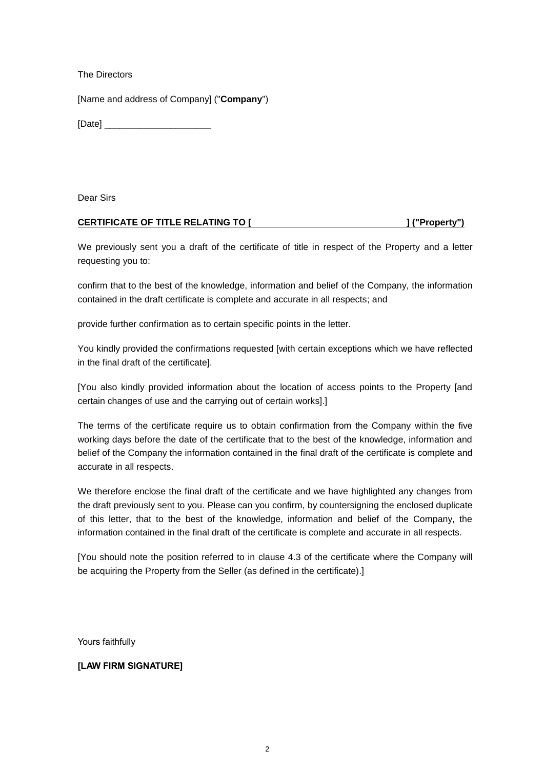The Directors

[Name and address of Company] ("**Company**")

[Date] \_\_\_\_\_\_\_\_\_\_\_\_\_\_\_\_\_\_\_\_\_

Dear Sirs

## **CERTIFICATE OF TITLE RELATING TO [ ] ("Property")**

We previously sent you a draft of the certificate of title in respect of the Property and a letter requesting you to:

confirm that to the best of the knowledge, information and belief of the Company, the information contained in the draft certificate is complete and accurate in all respects; and

provide further confirmation as to certain specific points in the letter.

You kindly provided the confirmations requested [with certain exceptions which we have reflected in the final draft of the certificate].

[You also kindly provided information about the location of access points to the Property [and certain changes of use and the carrying out of certain works].]

The terms of the certificate require us to obtain confirmation from the Company within the five working days before the date of the certificate that to the best of the knowledge, information and belief of the Company the information contained in the final draft of the certificate is complete and accurate in all respects.

We therefore enclose the final draft of the certificate and we have highlighted any changes from the draft previously sent to you. Please can you confirm, by countersigning the enclosed duplicate of this letter, that to the best of the knowledge, information and belief of the Company, the information contained in the final draft of the certificate is complete and accurate in all respects.

[You should note the position referred to in clause 4.3 of the certificate where the Company will be acquiring the Property from the Seller (as defined in the certificate).]

Yours faithfully

## **[LAW FIRM SIGNATURE]**